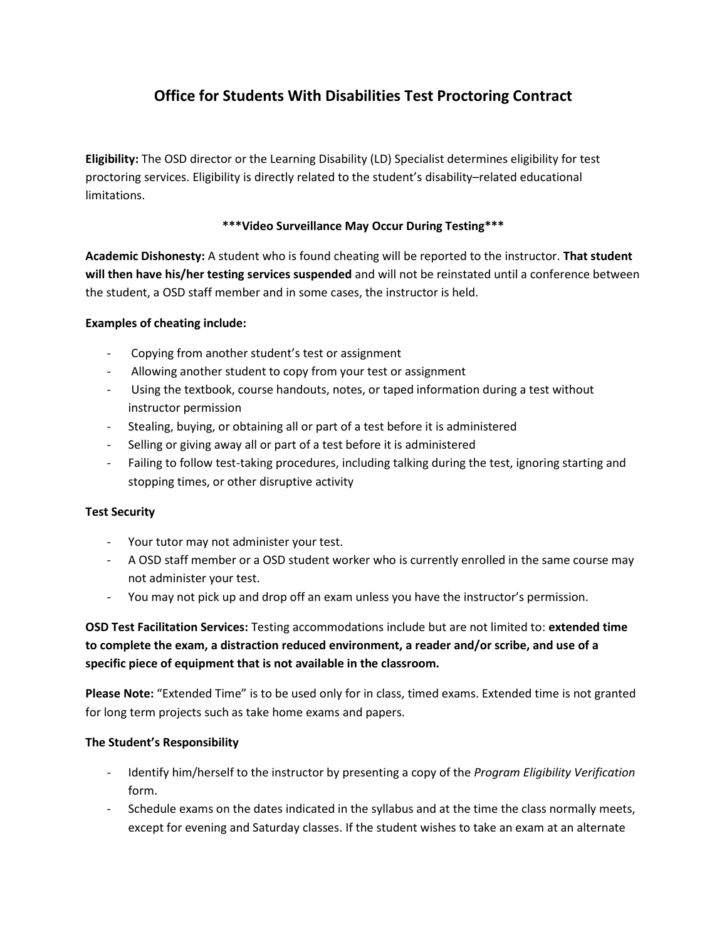# **Office for Students With Disabilities Test Proctoring Contract**

**Eligibility:** The OSD director or the Learning Disability (LD) Specialist determines eligibility for test proctoring services. Eligibility is directly related to the student's disability–related educational limitations.

### **\*\*\*Video Surveillance May Occur During Testing\*\*\***

**Academic Dishonesty:** A student who is found cheating will be reported to the instructor. **That student will then have his/her testing services suspended** and will not be reinstated until a conference between the student, a OSD staff member and in some cases, the instructor is held.

#### **Examples of cheating include:**

- Copying from another student's test or assignment
- Allowing another student to copy from your test or assignment
- Using the textbook, course handouts, notes, or taped information during a test without instructor permission
- Stealing, buying, or obtaining all or part of a test before it is administered
- Selling or giving away all or part of a test before it is administered
- Failing to follow test-taking procedures, including talking during the test, ignoring starting and stopping times, or other disruptive activity

#### **Test Security**

- Your tutor may not administer your test.
- A OSD staff member or a OSD student worker who is currently enrolled in the same course may not administer your test.
- You may not pick up and drop off an exam unless you have the instructor's permission.

**OSD Test Facilitation Services:** Testing accommodations include but are not limited to: **extended time to complete the exam, a distraction reduced environment, a reader and/or scribe, and use of a specific piece of equipment that is not available in the classroom.**

Please Note: "Extended Time" is to be used only for in class, timed exams. Extended time is not granted for long term projects such as take home exams and papers.

#### **The Student's Responsibility**

- Identify him/herself to the instructor by presenting a copy of the *Program Eligibility Verification*  form.
- Schedule exams on the dates indicated in the syllabus and at the time the class normally meets, except for evening and Saturday classes. If the student wishes to take an exam at an alternate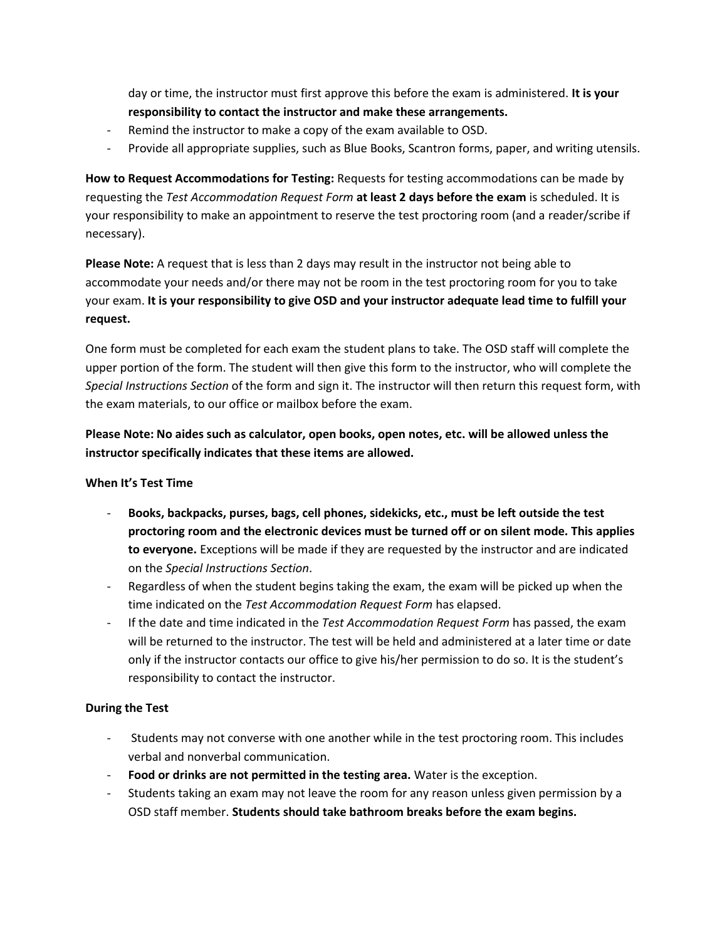day or time, the instructor must first approve this before the exam is administered. **It is your responsibility to contact the instructor and make these arrangements.**

- Remind the instructor to make a copy of the exam available to OSD.
- Provide all appropriate supplies, such as Blue Books, Scantron forms, paper, and writing utensils.

**How to Request Accommodations for Testing:** Requests for testing accommodations can be made by requesting the *Test Accommodation Request Form* **at least 2 days before the exam** is scheduled. It is your responsibility to make an appointment to reserve the test proctoring room (and a reader/scribe if necessary).

**Please Note:** A request that is less than 2 days may result in the instructor not being able to accommodate your needs and/or there may not be room in the test proctoring room for you to take your exam. **It is your responsibility to give OSD and your instructor adequate lead time to fulfill your request.**

One form must be completed for each exam the student plans to take. The OSD staff will complete the upper portion of the form. The student will then give this form to the instructor, who will complete the *Special Instructions Section* of the form and sign it. The instructor will then return this request form, with the exam materials, to our office or mailbox before the exam.

**Please Note: No aides such as calculator, open books, open notes, etc. will be allowed unless the instructor specifically indicates that these items are allowed.**

#### **When It's Test Time**

- **Books, backpacks, purses, bags, cell phones, sidekicks, etc., must be left outside the test proctoring room and the electronic devices must be turned off or on silent mode. This applies to everyone.** Exceptions will be made if they are requested by the instructor and are indicated on the *Special Instructions Section*.
- Regardless of when the student begins taking the exam, the exam will be picked up when the time indicated on the *Test Accommodation Request Form* has elapsed.
- If the date and time indicated in the *Test Accommodation Request Form* has passed, the exam will be returned to the instructor. The test will be held and administered at a later time or date only if the instructor contacts our office to give his/her permission to do so. It is the student's responsibility to contact the instructor.

#### **During the Test**

- Students may not converse with one another while in the test proctoring room. This includes verbal and nonverbal communication.
- **Food or drinks are not permitted in the testing area.** Water is the exception.
- Students taking an exam may not leave the room for any reason unless given permission by a OSD staff member. **Students should take bathroom breaks before the exam begins.**